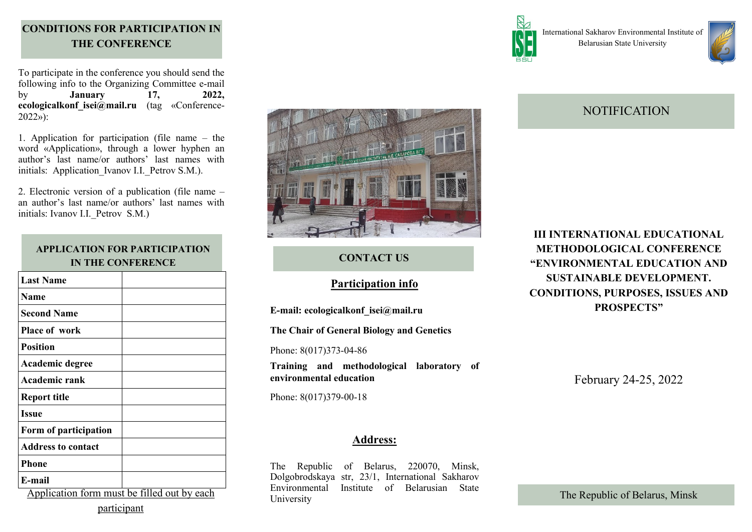## **CONDITIONS FOR PARTICIPATION IN THE CONFERENCE**

To participate in the conference you should send the following info to the Organizing Committee e-mail by **January 17, 2022, ecologicalkonf\_isei@mail.ru** (tag «Conference-2022»):

1. Application for participation (file name – the word «Application», through a lower hyphen an author's last name/or authors' last names with initials: Application Ivanov I.I. Petrov S.M.).

2. Electronic version of a publication (file name – an author's last name/or authors' last names with initials: Ivanov I.I. Petrov S.M.)

### **APPLICATION FOR PARTICIPATION IN THE CONFERENCE**

| <b>Last Name</b>                                                    |  |
|---------------------------------------------------------------------|--|
| <b>Name</b>                                                         |  |
| <b>Second Name</b>                                                  |  |
| <b>Place of work</b>                                                |  |
| <b>Position</b>                                                     |  |
| Academic degree                                                     |  |
| <b>Academic rank</b>                                                |  |
| <b>Report title</b>                                                 |  |
| <b>Issue</b>                                                        |  |
| Form of participation                                               |  |
| <b>Address to contact</b>                                           |  |
| <b>Phone</b>                                                        |  |
| E-mail                                                              |  |
| $\lambda$ 1 $\lambda$<br>$11$ $0.11$ $11$ $11$<br>C<br>$\mathbf{1}$ |  |

Application form must be filled out by each participant



### **CONTACT US**

### **Participation info**

**E-mail: ecologicalkonf\_isei@mail.ru**

**The Chair of General Biology and Genetics** 

Phone: 8(017)373-04-86

**Training and methodological laboratory of environmental education** 

Phone: 8(017)379-00-18

### **Address:**

The Republic of Belarus, 220070, Minsk, Dolgobrodskaya str, 23/1, International Sakharov Environmental Institute of Belarusian State University



International Sakharov Environmental Institute of Belarusian State University



# **NOTIFICATION**

**III INTERNATIONAL EDUCATIONAL METHODOLOGICAL CONFERENCE "ENVIRONMENTAL EDUCATION AND SUSTAINABLE DEVELOPMENT. CONDITIONS, PURPOSES, ISSUES AND PROSPECTS"**

February 24-25, 2022